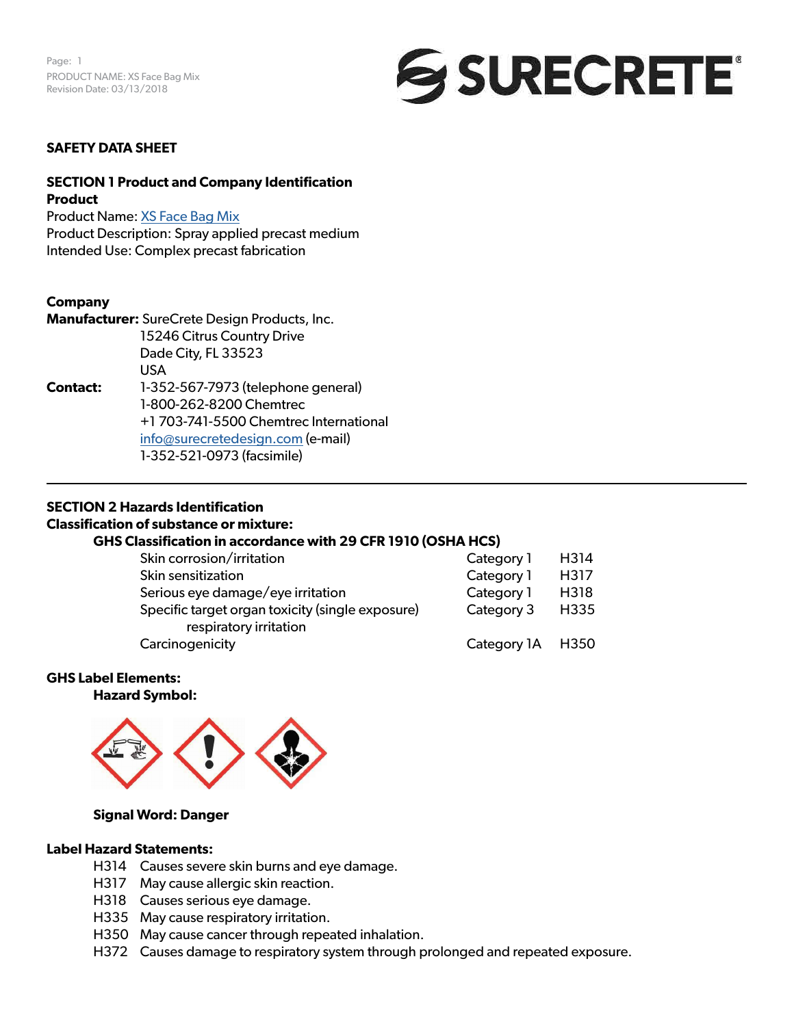

#### **SAFETY DATA SHEET**

# **SECTION 1 Product and Company Identification Product**

Product Name: [XS Face](https://www.surecretedesign.com/product/gfrc-face-mix/) Bag Mix Product Description: Spray applied precast medium Intended Use: Complex precast fabrication

#### **Company**

**Manufacturer:** SureCrete Design Products, Inc. 15246 Citrus Country Drive Dade City, FL 33523 USA **Contact:** 1-352-567-7973 (telephone general) 1-800-262-8200 Chemtrec +1 703-741-5500 Chemtrec International [info@surecretedesign.com](mailto:info%40surecretedesign.com?subject=XS%20Face%20Bag%20Mix%20-%20SDS%20Inquiry) (e-mail) 1-352-521-0973 (facsimile)

#### **SECTION 2 Hazards Identification**

#### **Classification of substance or mixture:**

# **GHS Classification in accordance with 29 CFR 1910 (OSHA HCS)**

| Skin corrosion/irritation                        | Category 1       | H314 |
|--------------------------------------------------|------------------|------|
| Skin sensitization                               | Category 1       | H317 |
| Serious eye damage/eye irritation                | Category 1       | H318 |
| Specific target organ toxicity (single exposure) | Category 3       | H335 |
| respiratory irritation                           |                  |      |
| Carcinogenicity                                  | Category 1A H350 |      |

#### **GHS Label Elements:**

**Hazard Symbol:** 



#### **Signal Word: Danger**

#### **Label Hazard Statements:**

- H314 Causes severe skin burns and eye damage.
- H317 May cause allergic skin reaction.
- H318 Causes serious eye damage.
- H335 May cause respiratory irritation.
- H350 May cause cancer through repeated inhalation.
- H372 Causes damage to respiratory system through prolonged and repeated exposure.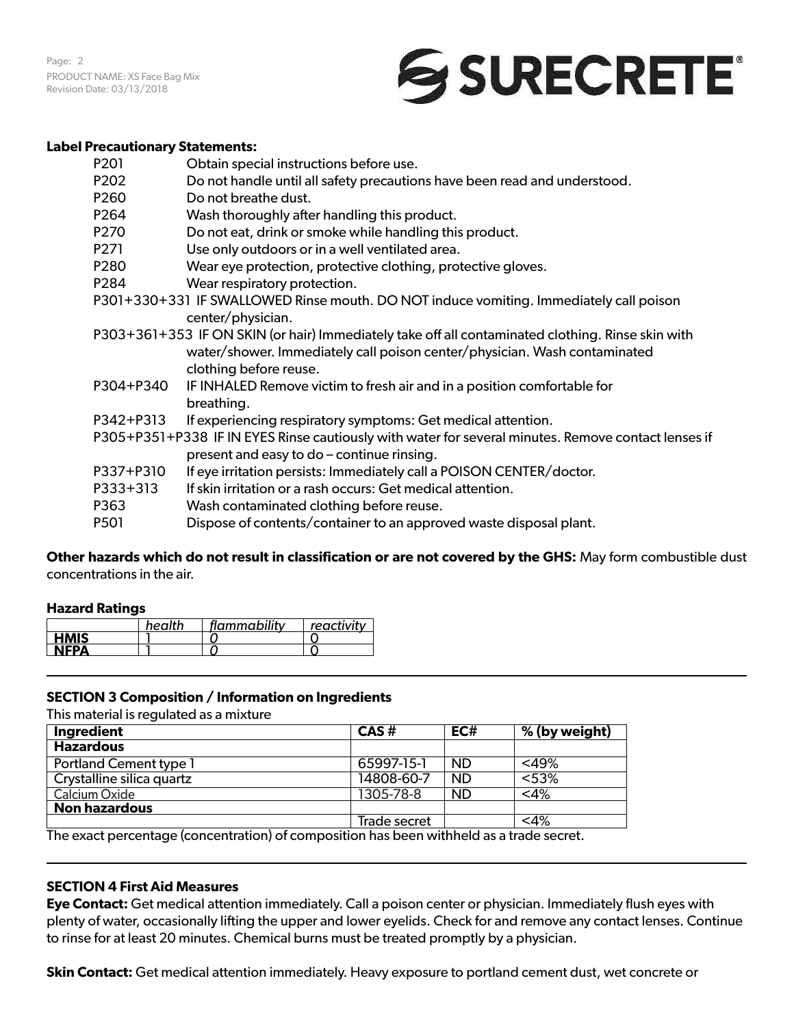Page: 2 PRODUCT NAME: XS Face Bag Mix Revision Date: 03/13/2018

# SURECRETE®

#### **Label Precautionary Statements:**

| P <sub>20</sub> 1 | Obtain special instructions before use.                                                                                                           |
|-------------------|---------------------------------------------------------------------------------------------------------------------------------------------------|
| P202              | Do not handle until all safety precautions have been read and understood.                                                                         |
| P <sub>260</sub>  | Do not breathe dust.                                                                                                                              |
| P264              | Wash thoroughly after handling this product.                                                                                                      |
| P270              | Do not eat, drink or smoke while handling this product.                                                                                           |
| P271              | Use only outdoors or in a well ventilated area.                                                                                                   |
| P280              | Wear eye protection, protective clothing, protective gloves.                                                                                      |
| P <sub>2</sub> 84 | Wear respiratory protection.                                                                                                                      |
|                   | P301+330+331 IF SWALLOWED Rinse mouth. DO NOT induce vomiting. Immediately call poison<br>center/physician.                                       |
|                   | P303+361+353 IF ON SKIN (or hair) Immediately take off all contaminated clothing. Rinse skin with                                                 |
|                   | water/shower. Immediately call poison center/physician. Wash contaminated<br>clothing before reuse.                                               |
| P304+P340         | IF INHALED Remove victim to fresh air and in a position comfortable for                                                                           |
|                   | breathing.                                                                                                                                        |
| P342+P313         | If experiencing respiratory symptoms: Get medical attention.                                                                                      |
|                   | P305+P351+P338 IF IN EYES Rinse cautiously with water for several minutes. Remove contact lenses if<br>present and easy to do - continue rinsing. |
| P337+P310         | If eye irritation persists: Immediately call a POISON CENTER/doctor.                                                                              |
| P333+313          | If skin irritation or a rash occurs: Get medical attention.                                                                                       |
| P363              | Wash contaminated clothing before reuse.                                                                                                          |
| P501              | Dispose of contents/container to an approved waste disposal plant.                                                                                |

**Other hazards which do not result in classification or are not covered by the GHS:** May form combustible dust concentrations in the air.

# **Hazard Ratings**

|             | health | flammability | reactivity |
|-------------|--------|--------------|------------|
| <b>HMIS</b> |        |              |            |
| <b>NFPA</b> |        |              |            |

# **SECTION 3 Composition / Information on Ingredients**

This material is regulated as a mixture

| Ingredient                    | CAS#         | EC#       | % (by weight) |
|-------------------------------|--------------|-----------|---------------|
| <b>Hazardous</b>              |              |           |               |
| <b>Portland Cement type 1</b> | 65997-15-1   | <b>ND</b> | $<$ 49%       |
| Crystalline silica quartz     | 14808-60-7   | <b>ND</b> | < 53%         |
| Calcium Oxide                 | 1305-78-8    | <b>ND</b> | $<$ 4%        |
| <b>Non hazardous</b>          |              |           |               |
|                               | Trade secret |           | $<$ 4%        |

The exact percentage (concentration) of composition has been withheld as a trade secret.

#### **SECTION 4 First Aid Measures**

**Eye Contact:** Get medical attention immediately. Call a poison center or physician. Immediately flush eyes with plenty of water, occasionally lifting the upper and lower eyelids. Check for and remove any contact lenses. Continue to rinse for at least 20 minutes. Chemical burns must be treated promptly by a physician.

**Skin Contact:** Get medical attention immediately. Heavy exposure to portland cement dust, wet concrete or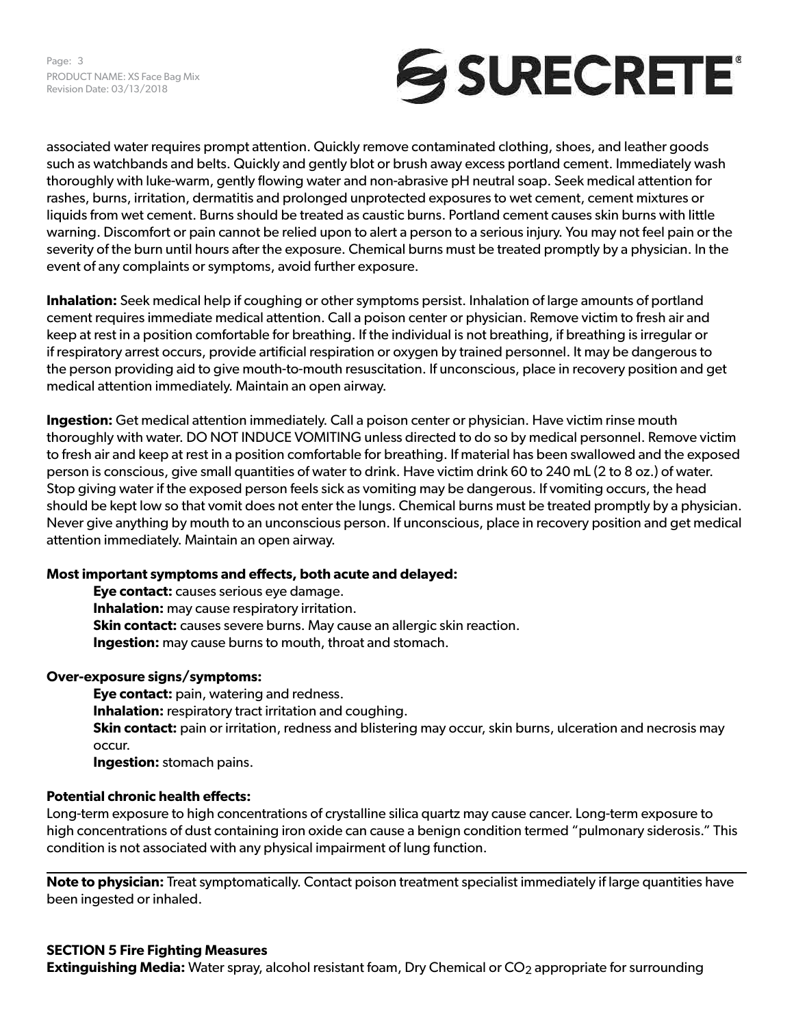

associated water requires prompt attention. Quickly remove contaminated clothing, shoes, and leather goods such as watchbands and belts. Quickly and gently blot or brush away excess portland cement. Immediately wash thoroughly with luke-warm, gently flowing water and non-abrasive pH neutral soap. Seek medical attention for rashes, burns, irritation, dermatitis and prolonged unprotected exposures to wet cement, cement mixtures or liquids from wet cement. Burns should be treated as caustic burns. Portland cement causes skin burns with little warning. Discomfort or pain cannot be relied upon to alert a person to a serious injury. You may not feel pain or the severity of the burn until hours after the exposure. Chemical burns must be treated promptly by a physician. In the event of any complaints or symptoms, avoid further exposure.

**Inhalation:** Seek medical help if coughing or other symptoms persist. Inhalation of large amounts of portland cement requires immediate medical attention. Call a poison center or physician. Remove victim to fresh air and keep at rest in a position comfortable for breathing. If the individual is not breathing, if breathing is irregular or if respiratory arrest occurs, provide artificial respiration or oxygen by trained personnel. It may be dangerous to the person providing aid to give mouth-to-mouth resuscitation. If unconscious, place in recovery position and get medical attention immediately. Maintain an open airway.

**Ingestion:** Get medical attention immediately. Call a poison center or physician. Have victim rinse mouth thoroughly with water. DO NOT INDUCE VOMITING unless directed to do so by medical personnel. Remove victim to fresh air and keep at rest in a position comfortable for breathing. If material has been swallowed and the exposed person is conscious, give small quantities of water to drink. Have victim drink 60 to 240 mL (2 to 8 oz.) of water. Stop giving water if the exposed person feels sick as vomiting may be dangerous. If vomiting occurs, the head should be kept low so that vomit does not enter the lungs. Chemical burns must be treated promptly by a physician. Never give anything by mouth to an unconscious person. If unconscious, place in recovery position and get medical attention immediately. Maintain an open airway.

# **Most important symptoms and effects, both acute and delayed:**

**Eye contact:** causes serious eye damage. **Inhalation:** may cause respiratory irritation. **Skin contact:** causes severe burns. May cause an allergic skin reaction. **Ingestion:** may cause burns to mouth, throat and stomach.

# **Over-exposure signs/symptoms:**

**Eye contact:** pain, watering and redness. **Inhalation:** respiratory tract irritation and coughing. **Skin contact:** pain or irritation, redness and blistering may occur, skin burns, ulceration and necrosis may occur. **Ingestion:** stomach pains.

# **Potential chronic health effects:**

Long-term exposure to high concentrations of crystalline silica quartz may cause cancer. Long-term exposure to high concentrations of dust containing iron oxide can cause a benign condition termed "pulmonary siderosis." This condition is not associated with any physical impairment of lung function.

**Note to physician:** Treat symptomatically. Contact poison treatment specialist immediately if large quantities have been ingested or inhaled.

**Extinguishing Media:** Water spray, alcohol resistant foam, Dry Chemical or CO<sub>2</sub> appropriate for surrounding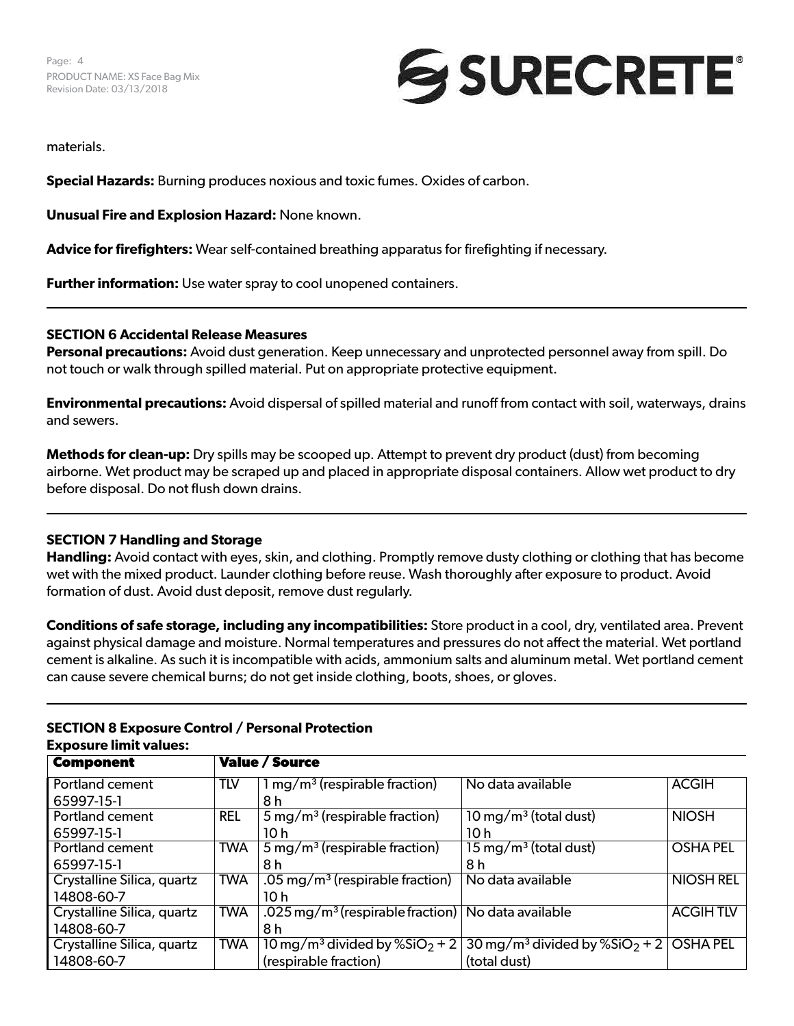

materials.

**Special Hazards:** Burning produces noxious and toxic fumes. Oxides of carbon.

**Unusual Fire and Explosion Hazard:** None known.

**Advice for firefighters:** Wear self-contained breathing apparatus for firefighting if necessary.

**Further information:** Use water spray to cool unopened containers.

# **SECTION 6 Accidental Release Measures**

**Personal precautions:** Avoid dust generation. Keep unnecessary and unprotected personnel away from spill. Do not touch or walk through spilled material. Put on appropriate protective equipment.

**Environmental precautions:** Avoid dispersal of spilled material and runoff from contact with soil, waterways, drains and sewers.

**Methods for clean-up:** Dry spills may be scooped up. Attempt to prevent dry product (dust) from becoming airborne. Wet product may be scraped up and placed in appropriate disposal containers. Allow wet product to dry before disposal. Do not flush down drains.

#### **SECTION 7 Handling and Storage**

**Handling:** Avoid contact with eyes, skin, and clothing. Promptly remove dusty clothing or clothing that has become wet with the mixed product. Launder clothing before reuse. Wash thoroughly after exposure to product. Avoid formation of dust. Avoid dust deposit, remove dust regularly.

**Conditions of safe storage, including any incompatibilities:** Store product in a cool, dry, ventilated area. Prevent against physical damage and moisture. Normal temperatures and pressures do not affect the material. Wet portland cement is alkaline. As such it is incompatible with acids, ammonium salts and aluminum metal. Wet portland cement can cause severe chemical burns; do not get inside clothing, boots, shoes, or gloves.

| <b>Component</b>           | <b>Value / Source</b> |                                              |                                                         |                  |
|----------------------------|-----------------------|----------------------------------------------|---------------------------------------------------------|------------------|
| <b>Portland cement</b>     | <b>TLV</b>            | $1 \,\mathrm{mg/m^3}$ (respirable fraction)  | No data available                                       | <b>ACGIH</b>     |
| 65997-15-1                 |                       | 8 h                                          |                                                         |                  |
| <b>Portland cement</b>     | <b>REL</b>            | $5 \,\mathrm{mg/m^3}$ (respirable fraction)  | $10 \,\mathrm{mg/m^3}$ (total dust)                     | <b>NIOSH</b>     |
| 65997-15-1                 |                       | 10 h                                         | 10h                                                     |                  |
| <b>Portland cement</b>     | <b>TWA</b>            | $5 \,\mathrm{mg/m^3}$ (respirable fraction)  | $15 \,\mathrm{mg/m^3}$ (total dust)                     | <b>OSHA PEL</b>  |
| 65997-15-1                 |                       | 8 h                                          | 8 h                                                     |                  |
| Crystalline Silica, quartz | TWA                   | .05 mg/m <sup>3</sup> (respirable fraction)  | No data available                                       | <b>NIOSH REL</b> |
| 14808-60-7                 |                       | 10 h                                         |                                                         |                  |
| Crystalline Silica, quartz | <b>TWA</b>            | .025 mg/m <sup>3</sup> (respirable fraction) | No data available                                       | <b>ACGIHTLV</b>  |
| 14808-60-7                 |                       | 8 h                                          |                                                         |                  |
| Crystalline Silica, quartz | <b>TWA</b>            | 10 mg/m <sup>3</sup> divided by $%SiO2 + 2$  | $30 \,\mathrm{mg/m^3}$ divided by %SiO <sub>2</sub> + 2 | <b>OSHA PEL</b>  |
| 14808-60-7                 |                       | (respirable fraction)                        | (total dust)                                            |                  |

#### **SECTION 8 Exposure Control / Personal Protection Exposure limit values:**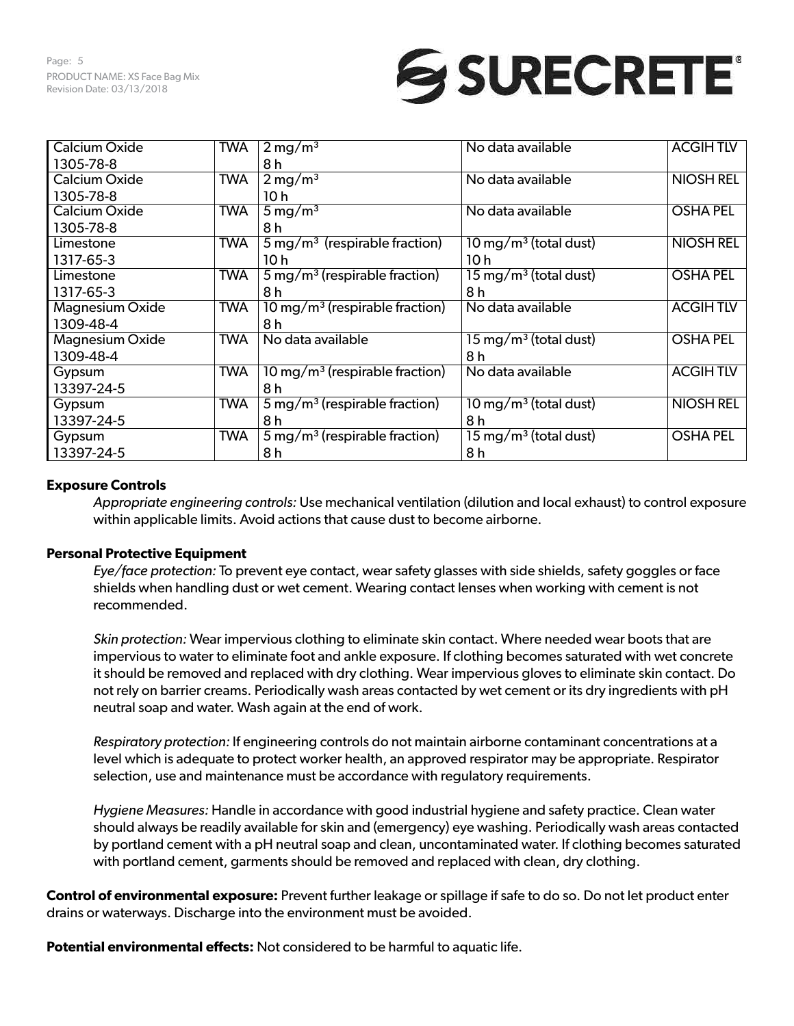# SURECRETE®

| <b>Calcium Oxide</b>   | <b>TWA</b> | $2 \,\mathrm{mg/m^3}$                        | No data available                   | <b>ACGIHTLV</b>  |
|------------------------|------------|----------------------------------------------|-------------------------------------|------------------|
| 1305-78-8              |            | 8 h                                          |                                     |                  |
| Calcium Oxide          | <b>TWA</b> | $2 \,\mathrm{mg/m^3}$                        | No data available                   | <b>NIOSH REL</b> |
| 1305-78-8              |            | 10h                                          |                                     |                  |
| Calcium Oxide          | <b>TWA</b> | $5 \,\mathrm{mg/m^3}$                        | No data available                   | <b>OSHA PEL</b>  |
| 1305-78-8              |            | 8 h                                          |                                     |                  |
| Limestone              | <b>TWA</b> | $5 \,\mathrm{mg/m^3}$ (respirable fraction)  | $10 \,\mathrm{mg/m^3}$ (total dust) | <b>NIOSH REL</b> |
| 1317-65-3              |            | 10 <sub>h</sub>                              | 10 h                                |                  |
| Limestone              | <b>TWA</b> | $5 \,\mathrm{mg/m^3}$ (respirable fraction)  | $15 \,\mathrm{mg/m^3}$ (total dust) | <b>OSHA PEL</b>  |
| 1317-65-3              |            | 8 h                                          | 8 h                                 |                  |
| <b>Magnesium Oxide</b> | <b>TWA</b> | $10 \,\mathrm{mg/m^3}$ (respirable fraction) | No data available                   | <b>ACGIHTLV</b>  |
| 1309-48-4              |            | 8 h                                          |                                     |                  |
| <b>Magnesium Oxide</b> | <b>TWA</b> | No data available                            | $15 \,\mathrm{mg/m^3}$ (total dust) | <b>OSHA PEL</b>  |
| 1309-48-4              |            |                                              | 8 h                                 |                  |
| Gypsum                 | <b>TWA</b> | 10 mg/m <sup>3</sup> (respirable fraction)   | No data available                   | <b>ACGIHTLV</b>  |
| 13397-24-5             |            | 8 h                                          |                                     |                  |
| Gypsum                 | <b>TWA</b> | $5 \,\mathrm{mg/m^3}$ (respirable fraction)  | $10 \,\mathrm{mg/m^3}$ (total dust) | <b>NIOSH REL</b> |
| 13397-24-5             |            | 8 h                                          | 8 h                                 |                  |
| Gypsum                 | <b>TWA</b> | $5 \,\mathrm{mg/m^3}$ (respirable fraction)  | $15 \,\mathrm{mg/m^3}$ (total dust) | <b>OSHA PEL</b>  |
| 13397-24-5             |            | 8 h                                          | 8 h                                 |                  |

# **Exposure Controls**

*Appropriate engineering controls:* Use mechanical ventilation (dilution and local exhaust) to control exposure within applicable limits. Avoid actions that cause dust to become airborne.

# **Personal Protective Equipment**

*Eye/face protection:* To prevent eye contact, wear safety glasses with side shields, safety goggles or face shields when handling dust or wet cement. Wearing contact lenses when working with cement is not recommended.

*Skin protection:* Wear impervious clothing to eliminate skin contact. Where needed wear boots that are impervious to water to eliminate foot and ankle exposure. If clothing becomes saturated with wet concrete it should be removed and replaced with dry clothing. Wear impervious gloves to eliminate skin contact. Do not rely on barrier creams. Periodically wash areas contacted by wet cement or its dry ingredients with pH neutral soap and water. Wash again at the end of work.

*Respiratory protection:* If engineering controls do not maintain airborne contaminant concentrations at a level which is adequate to protect worker health, an approved respirator may be appropriate. Respirator selection, use and maintenance must be accordance with regulatory requirements.

*Hygiene Measures:* Handle in accordance with good industrial hygiene and safety practice. Clean water should always be readily available for skin and (emergency) eye washing. Periodically wash areas contacted by portland cement with a pH neutral soap and clean, uncontaminated water. If clothing becomes saturated with portland cement, garments should be removed and replaced with clean, dry clothing.

**Control of environmental exposure:** Prevent further leakage or spillage if safe to do so. Do not let product enter drains or waterways. Discharge into the environment must be avoided.

**Potential environmental effects:** Not considered to be harmful to aquatic life.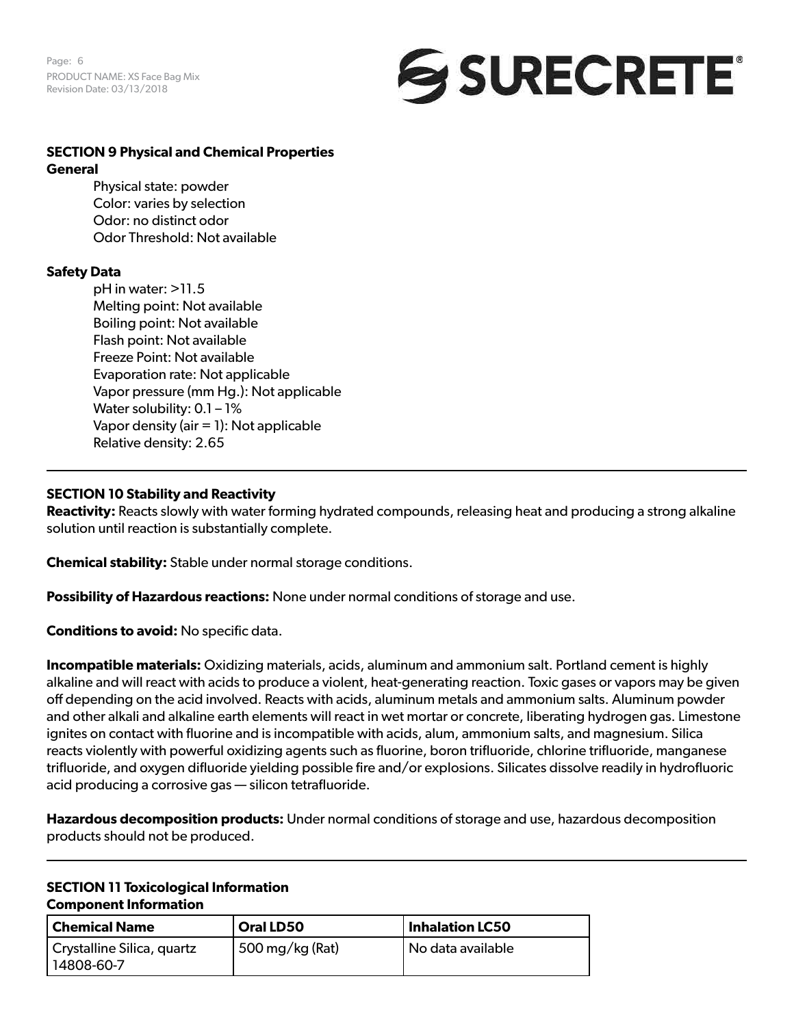Page: 6 PRODUCT NAME: XS Face Bag Mix Revision Date: 03/13/2018



#### **SECTION 9 Physical and Chemical Properties General**

Physical state: powder Color: varies by selection Odor: no distinct odor Odor Threshold: Not available

# **Safety Data**

pH in water: >11.5 Melting point: Not available Boiling point: Not available Flash point: Not available Freeze Point: Not available Evaporation rate: Not applicable Vapor pressure (mm Hg.): Not applicable Water solubility: 0.1 - 1% Vapor density (air = 1): Not applicable Relative density: 2.65

# **SECTION 10 Stability and Reactivity**

**Reactivity:** Reacts slowly with water forming hydrated compounds, releasing heat and producing a strong alkaline solution until reaction is substantially complete.

**Chemical stability:** Stable under normal storage conditions.

**Possibility of Hazardous reactions:** None under normal conditions of storage and use.

**Conditions to avoid:** No specific data.

**Incompatible materials:** Oxidizing materials, acids, aluminum and ammonium salt. Portland cement is highly alkaline and will react with acids to produce a violent, heat-generating reaction. Toxic gases or vapors may be given off depending on the acid involved. Reacts with acids, aluminum metals and ammonium salts. Aluminum powder and other alkali and alkaline earth elements will react in wet mortar or concrete, liberating hydrogen gas. Limestone ignites on contact with fluorine and is incompatible with acids, alum, ammonium salts, and magnesium. Silica reacts violently with powerful oxidizing agents such as fluorine, boron trifluoride, chlorine trifluoride, manganese trifluoride, and oxygen difluoride yielding possible fire and/or explosions. Silicates dissolve readily in hydrofluoric acid producing a corrosive gas — silicon tetrafluoride.

**Hazardous decomposition products:** Under normal conditions of storage and use, hazardous decomposition products should not be produced.

#### **SECTION 11 Toxicological Information Component Information**

| Chemical Name                              | <b>Oral LD50</b> | Inhalation LC50   |
|--------------------------------------------|------------------|-------------------|
| Crystalline Silica, quartz<br>  14808-60-7 | 500 mg/kg (Rat)  | No data available |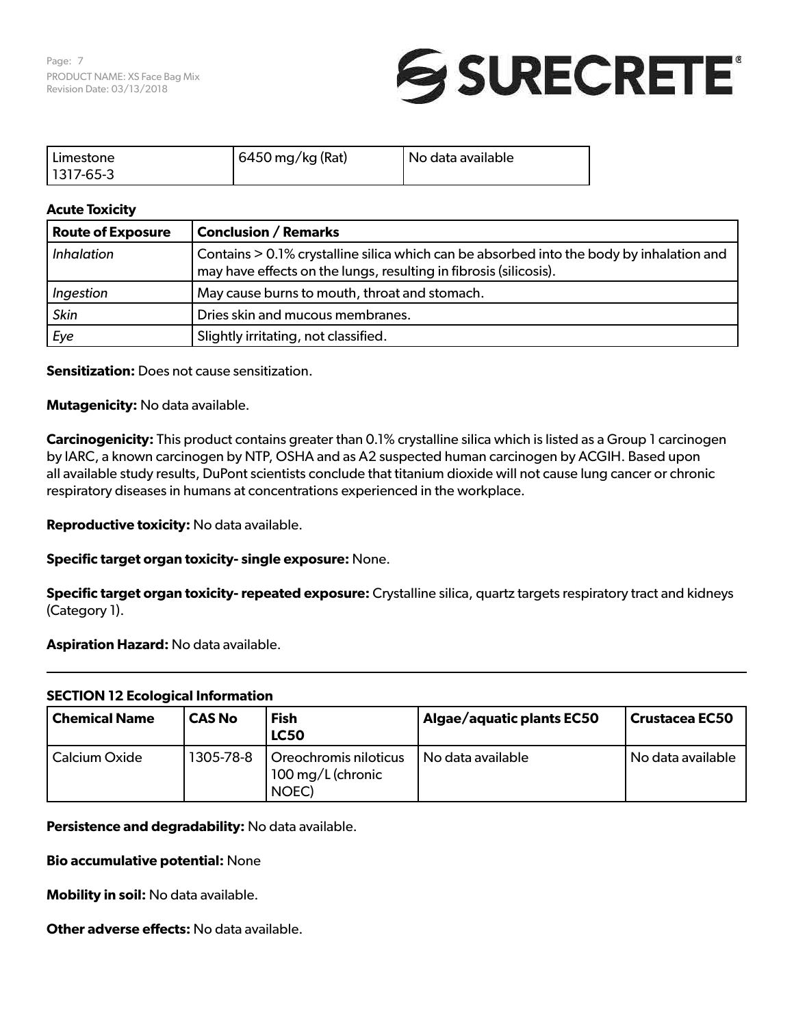

| Limestone     | 6450 mg/kg (Rat) | I No data available |
|---------------|------------------|---------------------|
| $ 1317-65-3 $ |                  |                     |

# **Acute Toxicity**

| <b>Route of Exposure</b> | <b>Conclusion / Remarks</b>                                                                                                                                   |
|--------------------------|---------------------------------------------------------------------------------------------------------------------------------------------------------------|
| <i>Inhalation</i>        | Contains > 0.1% crystalline silica which can be absorbed into the body by inhalation and<br>may have effects on the lungs, resulting in fibrosis (silicosis). |
| Ingestion                | May cause burns to mouth, throat and stomach.                                                                                                                 |
| <b>Skin</b>              | Dries skin and mucous membranes.                                                                                                                              |
| Eye                      | Slightly irritating, not classified.                                                                                                                          |

**Sensitization:** Does not cause sensitization.

**Mutagenicity:** No data available.

**Carcinogenicity:** This product contains greater than 0.1% crystalline silica which is listed as a Group 1 carcinogen by IARC, a known carcinogen by NTP, OSHA and as A2 suspected human carcinogen by ACGIH. Based upon all available study results, DuPont scientists conclude that titanium dioxide will not cause lung cancer or chronic respiratory diseases in humans at concentrations experienced in the workplace.

**Reproductive toxicity:** No data available.

**Specific target organ toxicity- single exposure:** None.

**Specific target organ toxicity- repeated exposure:** Crystalline silica, quartz targets respiratory tract and kidneys (Category 1).

**Aspiration Hazard:** No data available.

# **SECTION 12 Ecological Information**

| <b>Chemical Name</b> | <b>CAS No</b> | <b>Fish</b><br><b>LC50</b>                          | Algae/aquatic plants EC50 | <b>Crustacea EC50</b> |
|----------------------|---------------|-----------------------------------------------------|---------------------------|-----------------------|
| Calcium Oxide        | 1305-78-8     | Oreochromis niloticus<br>100 mg/L (chronic<br>NOEC) | No data available         | No data available     |

**Persistence and degradability:** No data available.

#### **Bio accumulative potential:** None

**Mobility in soil:** No data available.

**Other adverse effects:** No data available.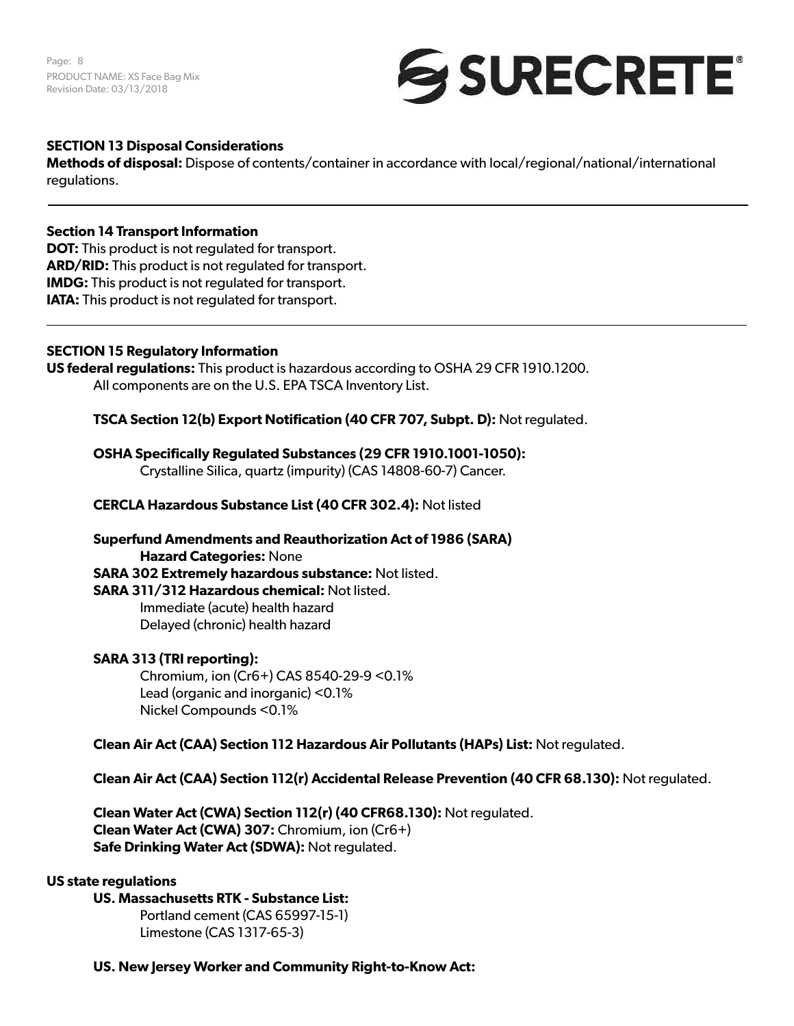Page: 8 PRODUCT NAME: XS Face Bag Mix Revision Date: 03/13/2018



# **SECTION 13 Disposal Considerations**

**Methods of disposal:** Dispose of contents/container in accordance with local/regional/national/international regulations.

#### **Section 14 Transport Information**

**DOT:** This product is not regulated for transport. **ARD/RID:** This product is not regulated for transport. **IMDG:** This product is not regulated for transport. **IATA:** This product is not regulated for transport.

#### **SECTION 15 Regulatory Information**

**US federal regulations:** This product is hazardous according to OSHA 29 CFR 1910.1200. All components are on the U.S. EPA TSCA Inventory List.

**TSCA Section 12(b) Export Notification (40 CFR 707, Subpt. D):** Not regulated.

# **OSHA Specifically Regulated Substances (29 CFR 1910.1001-1050):**

Crystalline Silica, quartz (impurity) (CAS 14808-60-7) Cancer.

# **CERCLA Hazardous Substance List (40 CFR 302.4):** Not listed

**Superfund Amendments and Reauthorization Act of 1986 (SARA) Hazard Categories:** None **SARA 302 Extremely hazardous substance:** Not listed. **SARA 311/312 Hazardous chemical:** Not listed. Immediate (acute) health hazard Delayed (chronic) health hazard

# **SARA 313 (TRI reporting):**

Chromium, ion (Cr6+) CAS 8540-29-9 <0.1% Lead (organic and inorganic) <0.1% Nickel Compounds <0.1%

**Clean Air Act (CAA) Section 112 Hazardous Air Pollutants (HAPs) List:** Not regulated.

**Clean Air Act (CAA) Section 112(r) Accidental Release Prevention (40 CFR 68.130):** Not regulated.

**Clean Water Act (CWA) Section 112(r) (40 CFR68.130):** Not regulated. **Clean Water Act (CWA) 307:** Chromium, ion (Cr6+) **Safe Drinking Water Act (SDWA):** Not regulated.

#### **US state regulations**

**US. Massachusetts RTK - Substance List:** 

Portland cement (CAS 65997-15-1) Limestone (CAS 1317-65-3)

**US. New Jersey Worker and Community Right-to-Know Act:**